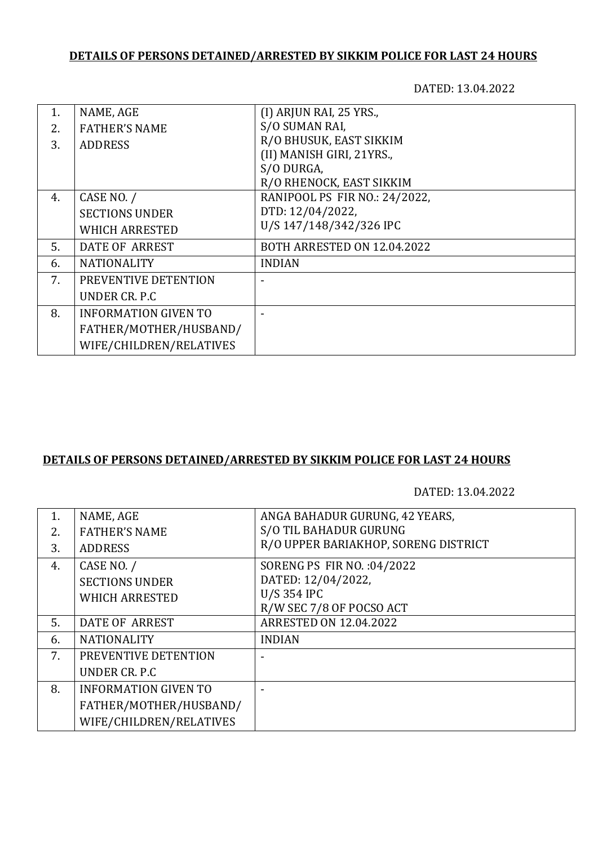## **DETAILS OF PERSONS DETAINED/ARRESTED BY SIKKIM POLICE FOR LAST 24 HOURS**

DATED: 13.04.2022

| 1. | NAME, AGE                   | (I) ARJUN RAI, 25 YRS.,       |
|----|-----------------------------|-------------------------------|
| 2. | <b>FATHER'S NAME</b>        | S/O SUMAN RAI,                |
| 3. | <b>ADDRESS</b>              | R/O BHUSUK, EAST SIKKIM       |
|    |                             | (II) MANISH GIRI, 21YRS.,     |
|    |                             | S/O DURGA,                    |
|    |                             | R/O RHENOCK, EAST SIKKIM      |
| 4. | CASE NO. /                  | RANIPOOL PS FIR NO.: 24/2022, |
|    | <b>SECTIONS UNDER</b>       | DTD: 12/04/2022,              |
|    | <b>WHICH ARRESTED</b>       | U/S 147/148/342/326 IPC       |
| 5. | <b>DATE OF ARREST</b>       | BOTH ARRESTED ON 12.04.2022   |
| 6. | <b>NATIONALITY</b>          | <b>INDIAN</b>                 |
| 7. | PREVENTIVE DETENTION        |                               |
|    | UNDER CR. P.C               |                               |
| 8. | <b>INFORMATION GIVEN TO</b> |                               |
|    | FATHER/MOTHER/HUSBAND/      |                               |
|    | WIFE/CHILDREN/RELATIVES     |                               |

## **DETAILS OF PERSONS DETAINED/ARRESTED BY SIKKIM POLICE FOR LAST 24 HOURS**

DATED: 13.04.2022

| 1. | NAME, AGE                   | ANGA BAHADUR GURUNG, 42 YEARS,       |
|----|-----------------------------|--------------------------------------|
| 2. | <b>FATHER'S NAME</b>        | S/O TIL BAHADUR GURUNG               |
| 3. | <b>ADDRESS</b>              | R/O UPPER BARIAKHOP, SORENG DISTRICT |
| 4. | CASE NO. /                  | SORENG PS FIR NO. : 04/2022          |
|    | <b>SECTIONS UNDER</b>       | DATED: 12/04/2022,                   |
|    | <b>WHICH ARRESTED</b>       | U/S 354 IPC                          |
|    |                             | R/W SEC 7/8 OF POCSO ACT             |
| 5. | <b>DATE OF ARREST</b>       | <b>ARRESTED ON 12.04.2022</b>        |
| 6. | <b>NATIONALITY</b>          | <b>INDIAN</b>                        |
| 7. | PREVENTIVE DETENTION        |                                      |
|    | UNDER CR. P.C.              |                                      |
| 8. | <b>INFORMATION GIVEN TO</b> |                                      |
|    | FATHER/MOTHER/HUSBAND/      |                                      |
|    | WIFE/CHILDREN/RELATIVES     |                                      |
|    |                             |                                      |